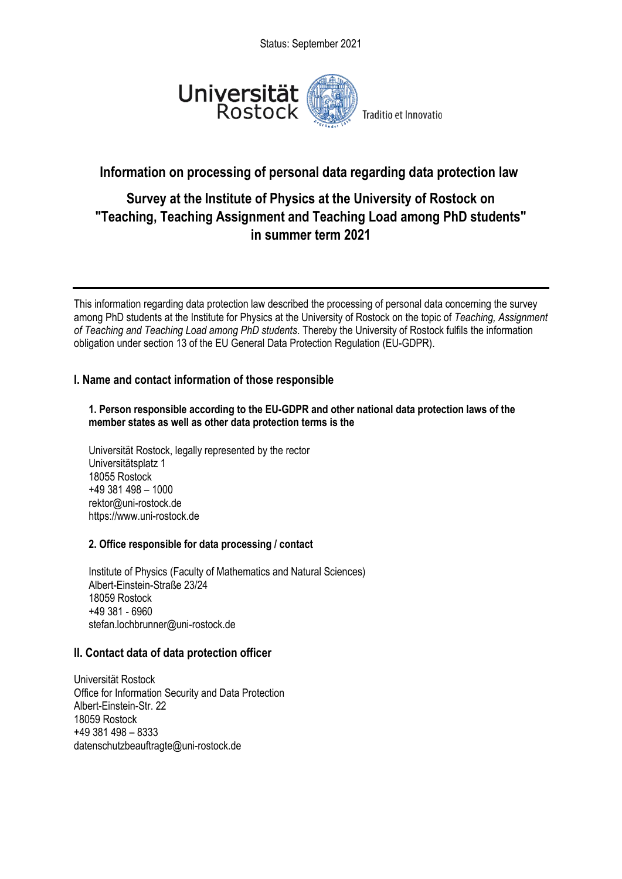Status: September 2021



# **Information on processing of personal data regarding data protection law**

# **Survey at the Institute of Physics at the University of Rostock on "Teaching, Teaching Assignment and Teaching Load among PhD students" in summer term 2021**

This information regarding data protection law described the processing of personal data concerning the survey among PhD students at the Institute for Physics at the University of Rostock on the topic of *Teaching, Assignment of Teaching and Teaching Load among PhD students*. Thereby the University of Rostock fulfils the information obligation under section 13 of the EU General Data Protection Regulation (EU-GDPR).

# **I. Name and contact information of those responsible**

#### **1. Person responsible according to the EU-GDPR and other national data protection laws of the member states as well as other data protection terms is the**

Universität Rostock, legally represented by the rector Universitätsplatz 1 18055 Rostock +49 381 498 – 1000 rektor@uni-rostock.de https://www.uni-rostock.de

# **2. Office responsible for data processing / contact**

Institute of Physics (Faculty of Mathematics and Natural Sciences) Albert-Einstein-Straße 23/24 18059 Rostock +49 381 - 6960 stefan.lochbrunner@uni-rostock.de

# **II. Contact data of data protection officer**

Universität Rostock Office for Information Security and Data Protection Albert-Einstein-Str. 22 18059 Rostock +49 381 498 – 8333 datenschutzbeauftragte@uni-rostock.de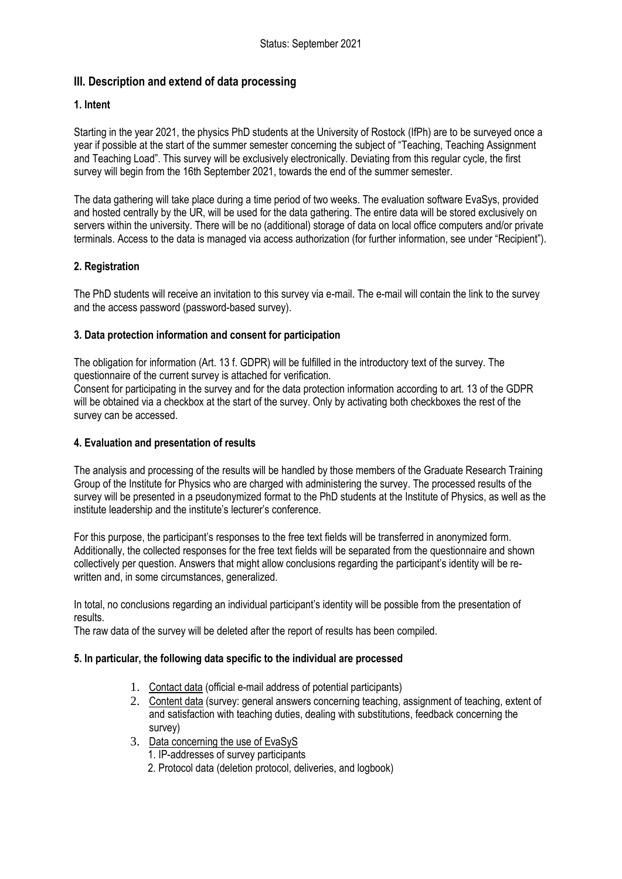# **III. Description and extend of data processing**

#### **1. Intent**

Starting in the year 2021, the physics PhD students at the University of Rostock (IfPh) are to be surveyed once a year if possible at the start of the summer semester concerning the subject of "Teaching, Teaching Assignment and Teaching Load". This survey will be exclusively electronically. Deviating from this regular cycle, the first survey will begin from the 16th September 2021, towards the end of the summer semester.

The data gathering will take place during a time period of two weeks. The evaluation software EvaSys, provided and hosted centrally by the UR, will be used for the data gathering. The entire data will be stored exclusively on servers within the university. There will be no (additional) storage of data on local office computers and/or private terminals. Access to the data is managed via access authorization (for further information, see under "Recipient").

#### **2. Registration**

The PhD students will receive an invitation to this survey via e-mail. The e-mail will contain the link to the survey and the access password (password-based survey).

#### **3. Data protection information and consent for participation**

The obligation for information (Art. 13 f. GDPR) will be fulfilled in the introductory text of the survey. The questionnaire of the current survey is attached for verification.

Consent for participating in the survey and for the data protection information according to art. 13 of the GDPR will be obtained via a checkbox at the start of the survey. Only by activating both checkboxes the rest of the survey can be accessed.

#### **4. Evaluation and presentation of results**

The analysis and processing of the results will be handled by those members of the Graduate Research Training Group of the Institute for Physics who are charged with administering the survey. The processed results of the survey will be presented in a pseudonymized format to the PhD students at the Institute of Physics, as well as the institute leadership and the institute's lecturer's conference.

For this purpose, the participant's responses to the free text fields will be transferred in anonymized form. Additionally, the collected responses for the free text fields will be separated from the questionnaire and shown collectively per question. Answers that might allow conclusions regarding the participant's identity will be rewritten and, in some circumstances, generalized.

In total, no conclusions regarding an individual participant's identity will be possible from the presentation of results.

The raw data of the survey will be deleted after the report of results has been compiled.

#### **5. In particular, the following data specific to the individual are processed**

- 1. Contact data (official e-mail address of potential participants)
- 2. Content data (survey: general answers concerning teaching, assignment of teaching, extent of and satisfaction with teaching duties, dealing with substitutions, feedback concerning the survey)
- 3. Data concerning the use of EvaSyS
	- 1. IP-addresses of survey participants
	- 2. Protocol data (deletion protocol, deliveries, and logbook)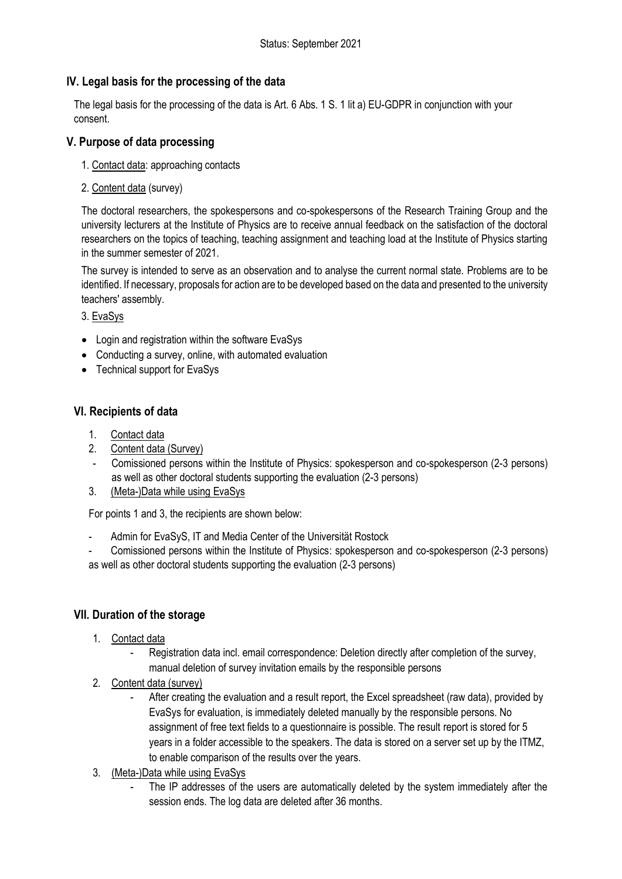# **IV. Legal basis for the processing of the data**

The legal basis for the processing of the data is Art. 6 Abs. 1 S. 1 lit a) EU-GDPR in conjunction with your consent.

# **V. Purpose of data processing**

- 1. Contact data: approaching contacts
- 2. Content data (survey)

The doctoral researchers, the spokespersons and co-spokespersons of the Research Training Group and the university lecturers at the Institute of Physics are to receive annual feedback on the satisfaction of the doctoral researchers on the topics of teaching, teaching assignment and teaching load at the Institute of Physics starting in the summer semester of 2021.

The survey is intended to serve as an observation and to analyse the current normal state. Problems are to be identified. If necessary, proposals for action are to be developed based on the data and presented to the university teachers' assembly.

# 3. EvaSys

- Login and registration within the software EvaSys
- Conducting a survey, online, with automated evaluation
- Technical support for EvaSys

# **VI. Recipients of data**

- 1. Contact data
- 2. Content data (Survey)
- Comissioned persons within the Institute of Physics: spokesperson and co-spokesperson (2-3 persons) as well as other doctoral students supporting the evaluation (2-3 persons)
- 3. (Meta-)Data while using EvaSys

For points 1 and 3, the recipients are shown below:

Admin for EvaSyS, IT and Media Center of the Universität Rostock

- Comissioned persons within the Institute of Physics: spokesperson and co-spokesperson (2-3 persons) as well as other doctoral students supporting the evaluation (2-3 persons)

# **VII. Duration of the storage**

- 1. Contact data
	- Registration data incl. email correspondence: Deletion directly after completion of the survey, manual deletion of survey invitation emails by the responsible persons
- 2. Content data (survey)
	- After creating the evaluation and a result report, the Excel spreadsheet (raw data), provided by EvaSys for evaluation, is immediately deleted manually by the responsible persons. No assignment of free text fields to a questionnaire is possible. The result report is stored for 5 years in a folder accessible to the speakers. The data is stored on a server set up by the ITMZ, to enable comparison of the results over the years.
- 3. (Meta-)Data while using EvaSys
	- The IP addresses of the users are automatically deleted by the system immediately after the session ends. The log data are deleted after 36 months.